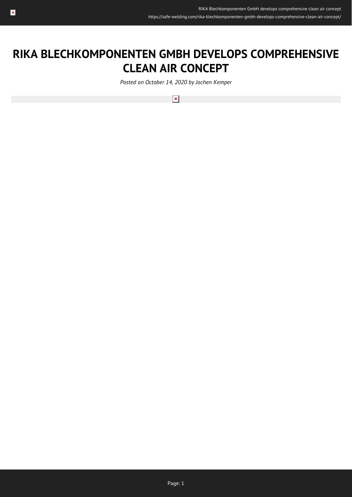# **RIKA BLECHKOMPONENTEN GMBH DEVELOPS COMPREHENSIVE CLEAN AIR CONCEPT**

*Posted on October 14, 2020 by Jochen Kemper*

 $\pmb{\times}$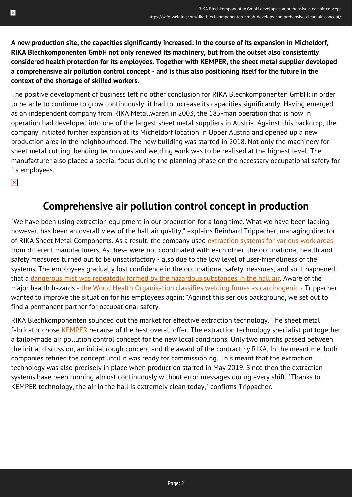**A new production site, the capacities significantly increased: In the course of its expansion in Micheldorf, RIKA Blechkomponenten GmbH not only renewed its machinery, but from the outset also consistently considered health protection for its employees. Together with KEMPER, the sheet metal supplier developed a comprehensive air pollution control concept - and is thus also positioning itself for the future in the context of the shortage of skilled workers.**

The positive development of business left no other conclusion for RIKA Blechkomponenten GmbH: in order to be able to continue to grow continuously, it had to increase its capacities significantly. Having emerged as an independent company from RIKA Metallwaren in 2003, the 185-man operation that is now in operation had developed into one of the largest sheet metal suppliers in Austria. Against this backdrop, the company initiated further expansion at its Micheldorf location in Upper Austria and opened up a new production area in the neighbourhood. The new building was started in 2018. Not only the machinery for sheet metal cutting, bending techniques and welding work was to be realised at the highest level. The manufacturer also placed a special focus during the planning phase on the necessary occupational safety for its employees.

 $\pmb{\times}$ 

#### **Comprehensive air pollution control concept in production**

"We have been using extraction equipment in our production for a long time. What we have been lacking, however, has been an overall view of the hall air quality," explains Reinhard Trippacher, managing director of RIKA Sheet Metal Components. As a result, the company used [extraction systems for various work areas](https://safe-welding.com/welding-fumes-explained-in-brief-why-an-extraction-system-is-so-important/) from different manufacturers. As these were not coordinated with each other, the occupational health and safety measures turned out to be unsatisfactory - also due to the low level of user-friendliness of the systems. The employees gradually lost confidence in the occupational safety measures, and so it happened that a [dangerous mist was repeatedly formed by the hazardous substances in the hall air](https://safe-welding.com/hazardous-substances-in-welding-fumes-how-they-affect-the-human-body/). Aware of the major health hazards - [the World Health Organisation classifies welding fumes as carcinogenic](https://safe-welding.com/is-welding-smoke-carcinogenic-international-cancer-researchers-now-say-a-clear-yes/) - Trippacher wanted to improve the situation for his employees again: "Against this serious background, we set out to find a permanent partner for occupational safety.

RIKA Blechkomponenten sounded out the market for effective extraction technology. The sheet metal fabricator chose [KEMPER](https://www.kemper.eu/en) because of the best overall offer. The extraction technology specialist put together a tailor-made air pollution control concept for the new local conditions. Only two months passed between the initial discussion, an initial rough concept and the award of the contract by RIKA. In the meantime, both companies refined the concept until it was ready for commissioning. This meant that the extraction technology was also precisely in place when production started in May 2019. Since then the extraction systems have been running almost continuously without error messages during every shift. "Thanks to KEMPER technology, the air in the hall is extremely clean today," confirms Trippacher.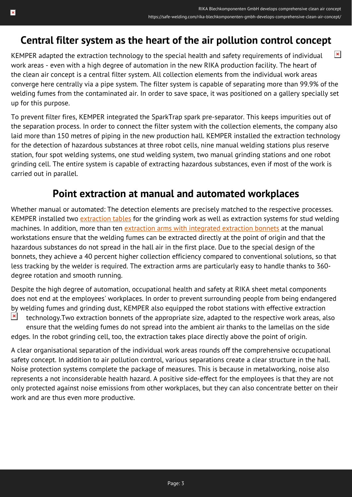# **Central filter system as the heart of the air pollution control concept**

 $\pmb{\times}$ KEMPER adapted the extraction technology to the special health and safety requirements of individual work areas - even with a high degree of automation in the new RIKA production facility. The heart of the clean air concept is a central filter system. All collection elements from the individual work areas converge here centrally via a pipe system. The filter system is capable of separating more than 99.9% of the welding fumes from the contaminated air. In order to save space, it was positioned on a gallery specially set up for this purpose.

To prevent filter fires, KEMPER integrated the SparkTrap spark pre-separator. This keeps impurities out of the separation process. In order to connect the filter system with the collection elements, the company also laid more than 150 metres of piping in the new production hall. KEMPER installed the extraction technology for the detection of hazardous substances at three robot cells, nine manual welding stations plus reserve station, four spot welding systems, one stud welding system, two manual grinding stations and one robot grinding cell. The entire system is capable of extracting hazardous substances, even if most of the work is carried out in parallel.

#### **Point extraction at manual and automated workplaces**

Whether manual or automated: The detection elements are precisely matched to the respective processes. KEMPER installed two [extraction tables](https://safe-welding.com/extraction-table-7-facts-how-fine-dust-is-effectively-extracted-during-cutting/) for the grinding work as well as extraction systems for stud welding machines. In addition, more than ten [extraction arms with integrated extraction bonnets](https://safe-welding.com/welding-fume-extraction-done-right-this-is-how-you-bring-the-extraction-arm-into-position/) at the manual workstations ensure that the welding fumes can be extracted directly at the point of origin and that the hazardous substances do not spread in the hall air in the first place. Due to the special design of the bonnets, they achieve a 40 percent higher collection efficiency compared to conventional solutions, so that less tracking by the welder is required. The extraction arms are particularly easy to handle thanks to 360 degree rotation and smooth running.

Despite the high degree of automation, occupational health and safety at RIKA sheet metal components does not end at the employees' workplaces. In order to prevent surrounding people from being endangered by welding fumes and grinding dust, KEMPER also equipped the robot stations with effective extraction  $\pmb{\times}$ technology.Two extraction bonnets of the appropriate size, adapted to the respective work areas, also ensure that the welding fumes do not spread into the ambient air thanks to the lamellas on the side edges. In the robot grinding cell, too, the extraction takes place directly above the point of origin.

A clear organisational separation of the individual work areas rounds off the comprehensive occupational safety concept. In addition to air pollution control, various separations create a clear structure in the hall. Noise protection systems complete the package of measures. This is because in metalworking, noise also represents a not inconsiderable health hazard. A positive side-effect for the employees is that they are not only protected against noise emissions from other workplaces, but they can also concentrate better on their work and are thus even more productive.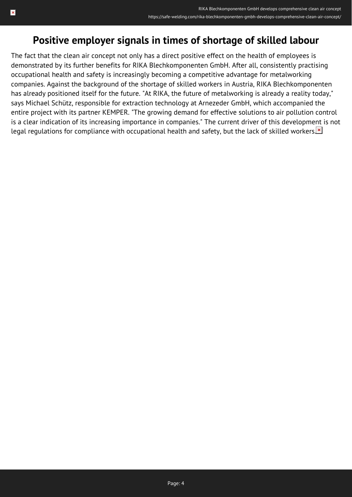### **Positive employer signals in times of shortage of skilled labour**

The fact that the clean air concept not only has a direct positive effect on the health of employees is demonstrated by its further benefits for RIKA Blechkomponenten GmbH. After all, consistently practising occupational health and safety is increasingly becoming a competitive advantage for metalworking companies. Against the background of the shortage of skilled workers in Austria, RIKA Blechkomponenten has already positioned itself for the future. "At RIKA, the future of metalworking is already a reality today," says Michael Schütz, responsible for extraction technology at Arnezeder GmbH, which accompanied the entire project with its partner KEMPER. "The growing demand for effective solutions to air pollution control is a clear indication of its increasing importance in companies." The current driver of this development is not legal regulations for compliance with occupational health and safety, but the lack of skilled workers.